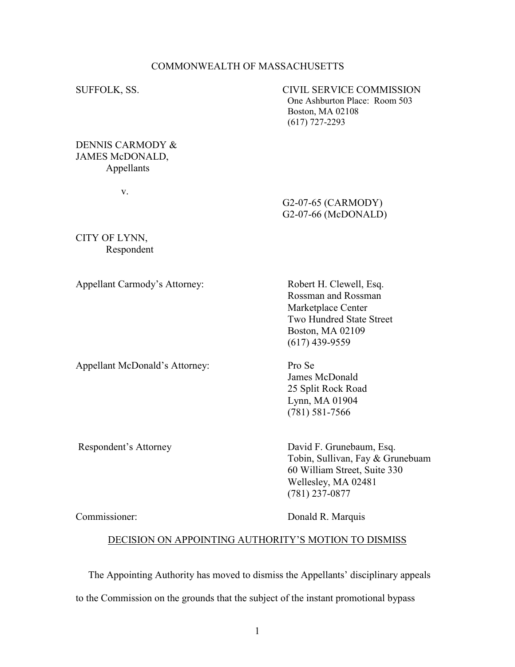### COMMONWEALTH OF MASSACHUSETTS

SUFFOLK, SS. CIVIL SERVICE COMMISSION One Ashburton Place: Room 503 Boston, MA 02108 (617) 727-2293

### DENNIS CARMODY & JAMES McDONALD, Appellants

v.

# G2-07-65 (CARMODY) G2-07-66 (McDONALD)

CITY OF LYNN, Respondent

Appellant Carmody's Attorney: Robert H. Clewell, Esq.

Appellant McDonald's Attorney: Pro Se

 Rossman and Rossman Marketplace Center Two Hundred State Street Boston, MA 02109 (617) 439-9559

 James McDonald 25 Split Rock Road Lynn, MA 01904 (781) 581-7566

Respondent's Attorney David F. Grunebaum, Esq. Tobin, Sullivan, Fay & Grunebuam 60 William Street, Suite 330 Wellesley, MA 02481 (781) 237-0877

Commissioner: Donald R. Marquis

### DECISION ON APPOINTING AUTHORITY'S MOTION TO DISMISS

The Appointing Authority has moved to dismiss the Appellants' disciplinary appeals

to the Commission on the grounds that the subject of the instant promotional bypass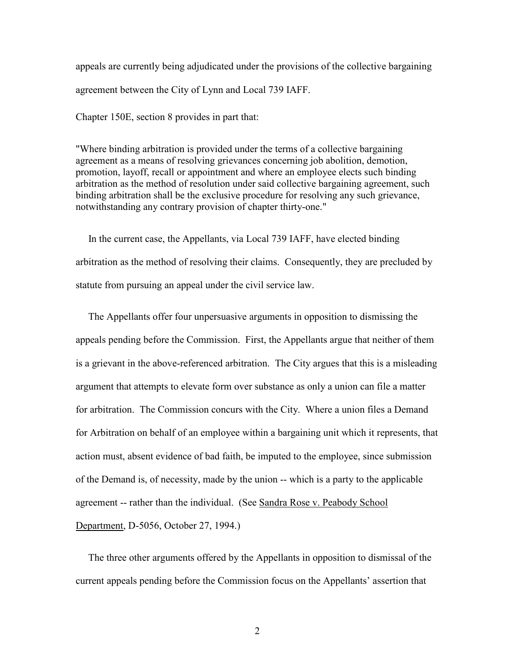appeals are currently being adjudicated under the provisions of the collective bargaining agreement between the City of Lynn and Local 739 IAFF.

Chapter 150E, section 8 provides in part that:

"Where binding arbitration is provided under the terms of a collective bargaining agreement as a means of resolving grievances concerning job abolition, demotion, promotion, layoff, recall or appointment and where an employee elects such binding arbitration as the method of resolution under said collective bargaining agreement, such binding arbitration shall be the exclusive procedure for resolving any such grievance, notwithstanding any contrary provision of chapter thirty-one."

 In the current case, the Appellants, via Local 739 IAFF, have elected binding arbitration as the method of resolving their claims. Consequently, they are precluded by statute from pursuing an appeal under the civil service law.

 The Appellants offer four unpersuasive arguments in opposition to dismissing the appeals pending before the Commission. First, the Appellants argue that neither of them is a grievant in the above-referenced arbitration. The City argues that this is a misleading argument that attempts to elevate form over substance as only a union can file a matter for arbitration. The Commission concurs with the City. Where a union files a Demand for Arbitration on behalf of an employee within a bargaining unit which it represents, that action must, absent evidence of bad faith, be imputed to the employee, since submission of the Demand is, of necessity, made by the union -- which is a party to the applicable agreement -- rather than the individual. (See Sandra Rose v. Peabody School Department, D-5056, October 27, 1994.)

 The three other arguments offered by the Appellants in opposition to dismissal of the current appeals pending before the Commission focus on the Appellants' assertion that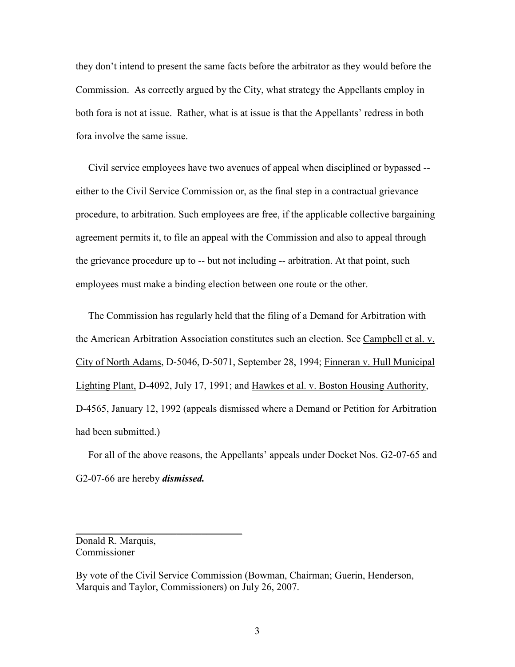they don't intend to present the same facts before the arbitrator as they would before the Commission. As correctly argued by the City, what strategy the Appellants employ in both fora is not at issue. Rather, what is at issue is that the Appellants' redress in both fora involve the same issue.

 Civil service employees have two avenues of appeal when disciplined or bypassed - either to the Civil Service Commission or, as the final step in a contractual grievance procedure, to arbitration. Such employees are free, if the applicable collective bargaining agreement permits it, to file an appeal with the Commission and also to appeal through the grievance procedure up to -- but not including -- arbitration. At that point, such employees must make a binding election between one route or the other.

 The Commission has regularly held that the filing of a Demand for Arbitration with the American Arbitration Association constitutes such an election. See Campbell et al. v. City of North Adams, D-5046, D-5071, September 28, 1994; Finneran v. Hull Municipal Lighting Plant, D-4092, July 17, 1991; and Hawkes et al. v. Boston Housing Authority, D-4565, January 12, 1992 (appeals dismissed where a Demand or Petition for Arbitration had been submitted.)

 For all of the above reasons, the Appellants' appeals under Docket Nos. G2-07-65 and G2-07-66 are hereby *dismissed*.

Donald R. Marquis, Commissioner

 $\overline{\phantom{a}}$  , where  $\overline{\phantom{a}}$  , where  $\overline{\phantom{a}}$  , where  $\overline{\phantom{a}}$ 

By vote of the Civil Service Commission (Bowman, Chairman; Guerin, Henderson, Marquis and Taylor, Commissioners) on July 26, 2007.